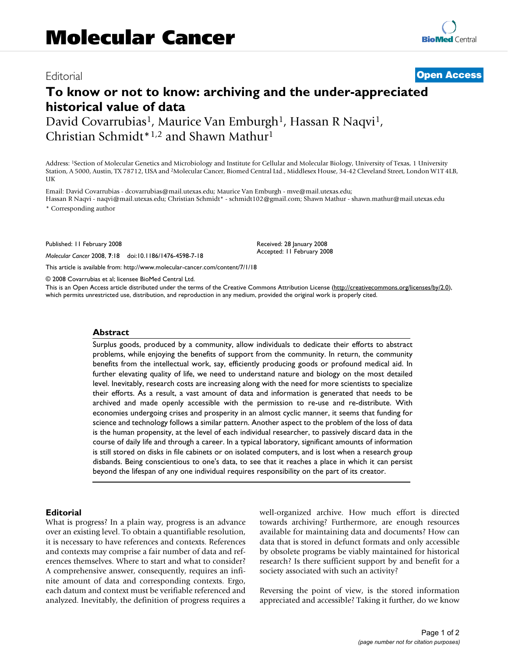## Editorial **[Open Access](http://www.biomedcentral.com/info/about/charter/)**

# **To know or not to know: archiving and the under-appreciated historical value of data**

David Covarrubias<sup>1</sup>, Maurice Van Emburgh<sup>1</sup>, Hassan R Naqvi<sup>1</sup>, Christian Schmidt\*1,2 and Shawn Mathur1

Address: 1Section of Molecular Genetics and Microbiology and Institute for Cellular and Molecular Biology, University of Texas, 1 University Station, A 5000, Austin, TX 78712, USA and 2Molecular Cancer, Biomed Central Ltd., Middlesex House, 34-42 Cleveland Street, London W1T 4LB, **IK** 

Email: David Covarrubias - dcovarrubias@mail.utexas.edu; Maurice Van Emburgh - mve@mail.utexas.edu; Hassan R Naqvi - naqvi@mail.utexas.edu; Christian Schmidt\* - schmidt102@gmail.com; Shawn Mathur - shawn.mathur@mail.utexas.edu

\* Corresponding author

Published: 11 February 2008

*Molecular Cancer* 2008, **7**:18 doi:10.1186/1476-4598-7-18

[This article is available from: http://www.molecular-cancer.com/content/7/1/18](http://www.molecular-cancer.com/content/7/1/18)

© 2008 Covarrubias et al; licensee BioMed Central Ltd.

This is an Open Access article distributed under the terms of the Creative Commons Attribution License [\(http://creativecommons.org/licenses/by/2.0\)](http://creativecommons.org/licenses/by/2.0), which permits unrestricted use, distribution, and reproduction in any medium, provided the original work is properly cited.

Received: 28 January 2008 Accepted: 11 February 2008

#### **Abstract**

Surplus goods, produced by a community, allow individuals to dedicate their efforts to abstract problems, while enjoying the benefits of support from the community. In return, the community benefits from the intellectual work, say, efficiently producing goods or profound medical aid. In further elevating quality of life, we need to understand nature and biology on the most detailed level. Inevitably, research costs are increasing along with the need for more scientists to specialize their efforts. As a result, a vast amount of data and information is generated that needs to be archived and made openly accessible with the permission to re-use and re-distribute. With economies undergoing crises and prosperity in an almost cyclic manner, it seems that funding for science and technology follows a similar pattern. Another aspect to the problem of the loss of data is the human propensity, at the level of each individual researcher, to passively discard data in the course of daily life and through a career. In a typical laboratory, significant amounts of information is still stored on disks in file cabinets or on isolated computers, and is lost when a research group disbands. Being conscientious to one's data, to see that it reaches a place in which it can persist beyond the lifespan of any one individual requires responsibility on the part of its creator.

### **Editorial**

What is progress? In a plain way, progress is an advance over an existing level. To obtain a quantifiable resolution, it is necessary to have references and contexts. References and contexts may comprise a fair number of data and references themselves. Where to start and what to consider? A comprehensive answer, consequently, requires an infinite amount of data and corresponding contexts. Ergo, each datum and context must be verifiable referenced and analyzed. Inevitably, the definition of progress requires a well-organized archive. How much effort is directed towards archiving? Furthermore, are enough resources available for maintaining data and documents? How can data that is stored in defunct formats and only accessible by obsolete programs be viably maintained for historical research? Is there sufficient support by and benefit for a society associated with such an activity?

Reversing the point of view, is the stored information appreciated and accessible? Taking it further, do we know